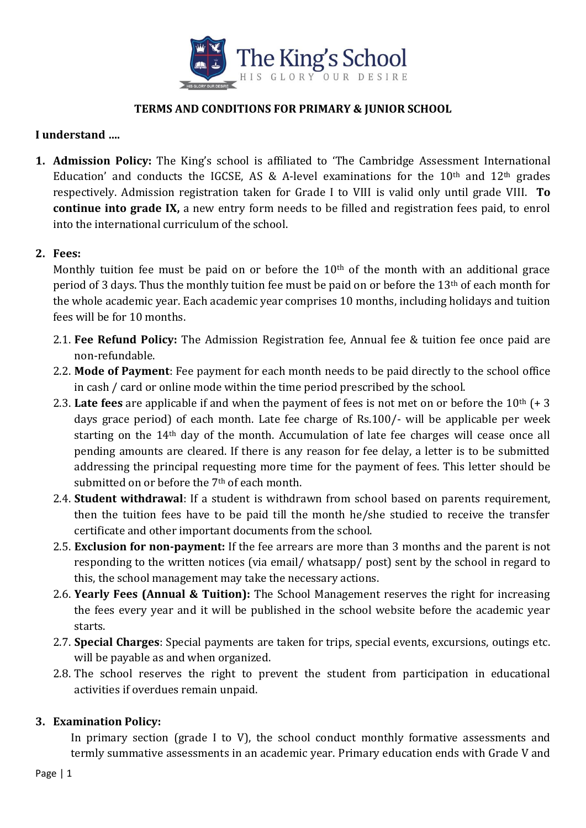

## **TERMS AND CONDITIONS FOR PRIMARY & JUNIOR SCHOOL**

## **I understand ….**

**1. Admission Policy:** The King's school is affiliated to 'The Cambridge Assessment International Education' and conducts the IGCSE, AS & A-level examinations for the  $10<sup>th</sup>$  and  $12<sup>th</sup>$  grades respectively. Admission registration taken for Grade I to VIII is valid only until grade VIII. **To continue into grade IX,** a new entry form needs to be filled and registration fees paid, to enrol into the international curriculum of the school.

## **2. Fees:**

Monthly tuition fee must be paid on or before the 10<sup>th</sup> of the month with an additional grace period of 3 days. Thus the monthly tuition fee must be paid on or before the 13th of each month for the whole academic year. Each academic year comprises 10 months, including holidays and tuition fees will be for 10 months.

- 2.1. **Fee Refund Policy:** The Admission Registration fee, Annual fee & tuition fee once paid are non-refundable.
- 2.2. **Mode of Payment**: Fee payment for each month needs to be paid directly to the school office in cash / card or online mode within the time period prescribed by the school.
- 2.3. Late fees are applicable if and when the payment of fees is not met on or before the 10<sup>th</sup> (+ 3 days grace period) of each month. Late fee charge of Rs.100/- will be applicable per week starting on the 14th day of the month. Accumulation of late fee charges will cease once all pending amounts are cleared. If there is any reason for fee delay, a letter is to be submitted addressing the principal requesting more time for the payment of fees. This letter should be submitted on or before the 7<sup>th</sup> of each month.
- 2.4. **Student withdrawal**: If a student is withdrawn from school based on parents requirement, then the tuition fees have to be paid till the month he/she studied to receive the transfer certificate and other important documents from the school.
- 2.5. **Exclusion for non-payment:** If the fee arrears are more than 3 months and the parent is not responding to the written notices (via email/ whatsapp/ post) sent by the school in regard to this, the school management may take the necessary actions.
- 2.6. **Yearly Fees (Annual & Tuition):** The School Management reserves the right for increasing the fees every year and it will be published in the school website before the academic year starts.
- 2.7. **Special Charges**: Special payments are taken for trips, special events, excursions, outings etc. will be payable as and when organized.
- 2.8. The school reserves the right to prevent the student from participation in educational activities if overdues remain unpaid.

## **3. Examination Policy:**

In primary section (grade I to V), the school conduct monthly formative assessments and termly summative assessments in an academic year. Primary education ends with Grade V and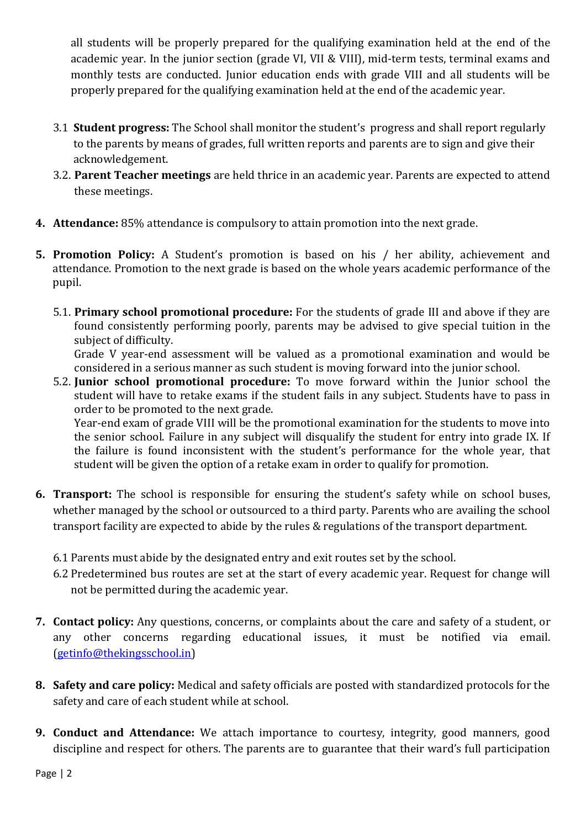all students will be properly prepared for the qualifying examination held at the end of the academic year. In the junior section (grade VI, VII & VIII), mid-term tests, terminal exams and monthly tests are conducted. Junior education ends with grade VIII and all students will be properly prepared for the qualifying examination held at the end of the academic year.

- 3.1 **Student progress:** The School shall monitor the student's progress and shall report regularly to the parents by means of grades, full written reports and parents are to sign and give their acknowledgement.
- 3.2. **Parent Teacher meetings** are held thrice in an academic year. Parents are expected to attend these meetings.
- **4. Attendance:** 85% attendance is compulsory to attain promotion into the next grade.
- **5. Promotion Policy:** A Student's promotion is based on his / her ability, achievement and attendance. Promotion to the next grade is based on the whole years academic performance of the pupil.
	- 5.1. **Primary school promotional procedure:** For the students of grade III and above if they are found consistently performing poorly, parents may be advised to give special tuition in the subject of difficulty.

Grade V year-end assessment will be valued as a promotional examination and would be considered in a serious manner as such student is moving forward into the junior school.

5.2. **Junior school promotional procedure:** To move forward within the Junior school the student will have to retake exams if the student fails in any subject. Students have to pass in order to be promoted to the next grade.

Year-end exam of grade VIII will be the promotional examination for the students to move into the senior school. Failure in any subject will disqualify the student for entry into grade IX. If the failure is found inconsistent with the student's performance for the whole year, that student will be given the option of a retake exam in order to qualify for promotion.

- **6. Transport:** The school is responsible for ensuring the student's safety while on school buses, whether managed by the school or outsourced to a third party. Parents who are availing the school transport facility are expected to abide by the rules & regulations of the transport department.
	- 6.1 Parents must abide by the designated entry and exit routes set by the school.
	- 6.2 Predetermined bus routes are set at the start of every academic year. Request for change will not be permitted during the academic year.
- **7. Contact policy:** Any questions, concerns, or complaints about the care and safety of a student, or any other concerns regarding educational issues, it must be notified via email. [\(getinfo@thekingsschool.in\)](mailto:getinfo@thekingsschool.in)
- **8. Safety and care policy:** Medical and safety officials are posted with standardized protocols for the safety and care of each student while at school.
- **9. Conduct and Attendance:** We attach importance to courtesy, integrity, good manners, good discipline and respect for others. The parents are to guarantee that their ward's full participation